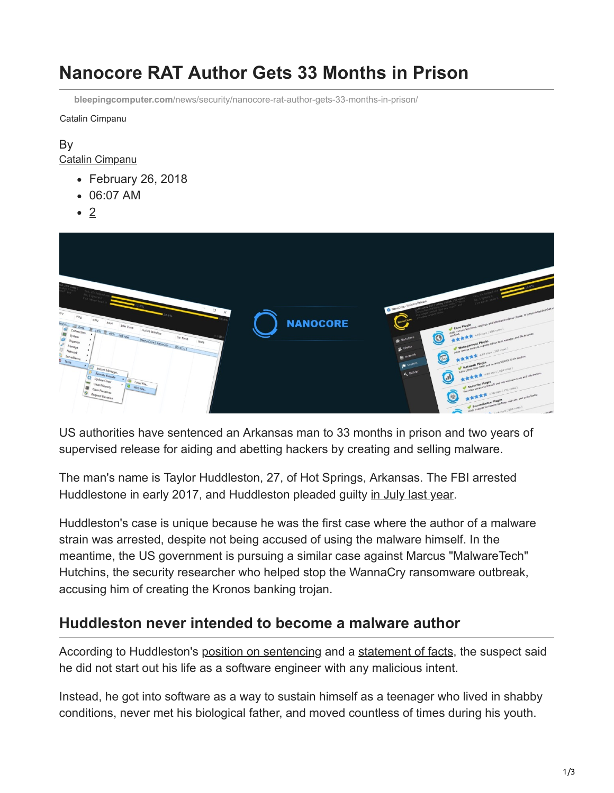# **Nanocore RAT Author Gets 33 Months in Prison**

**bleepingcomputer.com**[/news/security/nanocore-rat-author-gets-33-months-in-prison/](https://www.bleepingcomputer.com/news/security/nanocore-rat-author-gets-33-months-in-prison/)

Catalin Cimpanu

### By [Catalin Cimpanu](https://www.bleepingcomputer.com/author/catalin-cimpanu/)

- February 26, 2018
- 06:07 AM
- $\bullet$  2



US authorities have sentenced an Arkansas man to 33 months in prison and two years of supervised release for aiding and abetting hackers by creating and selling malware.

The man's name is Taylor Huddleston, 27, of Hot Springs, Arkansas. The FBI arrested Huddlestone in early 2017, and Huddleston pleaded guilty [in July last year](https://www.bleepingcomputer.com/news/security/author-of-nanocore-rat-pleads-guilty-in-court/).

Huddleston's case is unique because he was the first case where the author of a malware strain was arrested, despite not being accused of using the malware himself. In the meantime, the US government is pursuing a similar case against Marcus "MalwareTech" Hutchins, the security researcher who helped stop the WannaCry ransomware outbreak, accusing him of creating the Kronos banking trojan.

### **Huddleston never intended to become a malware author**

According to Huddleston's [position on sentencing](http://www.documentcloud.org/documents/4387420-Huddleston-POSITION-on-SENTENCING.html) and a [statement of facts](http://www.documentcloud.org/documents/3901131-Huddleston-Statement-of-Facts.html), the suspect said he did not start out his life as a software engineer with any malicious intent.

Instead, he got into software as a way to sustain himself as a teenager who lived in shabby conditions, never met his biological father, and moved countless of times during his youth.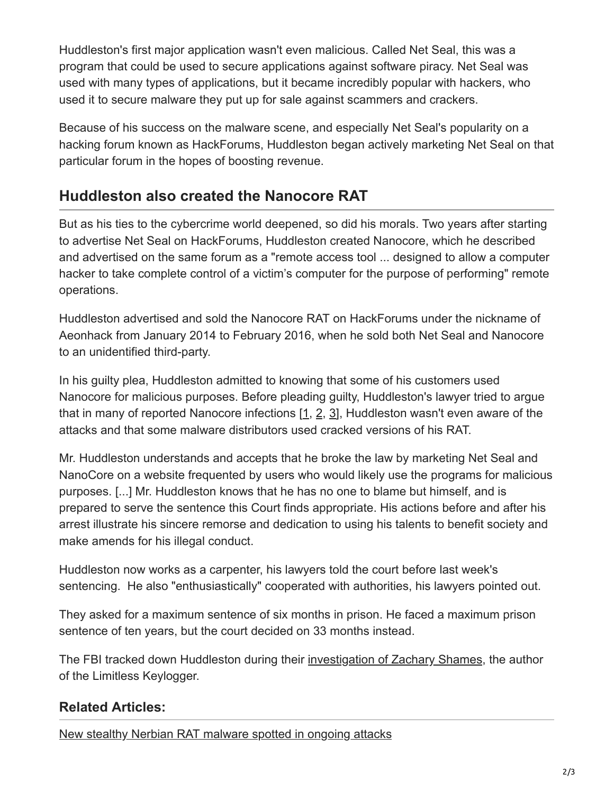Huddleston's first major application wasn't even malicious. Called Net Seal, this was a program that could be used to secure applications against software piracy. Net Seal was used with many types of applications, but it became incredibly popular with hackers, who used it to secure malware they put up for sale against scammers and crackers.

Because of his success on the malware scene, and especially Net Seal's popularity on a hacking forum known as HackForums, Huddleston began actively marketing Net Seal on that particular forum in the hopes of boosting revenue.

## **Huddleston also created the Nanocore RAT**

But as his ties to the cybercrime world deepened, so did his morals. Two years after starting to advertise Net Seal on HackForums, Huddleston created Nanocore, which he described and advertised on the same forum as a "remote access tool ... designed to allow a computer hacker to take complete control of a victim's computer for the purpose of performing" remote operations.

Huddleston advertised and sold the Nanocore RAT on HackForums under the nickname of Aeonhack from January 2014 to February 2016, when he sold both Net Seal and Nanocore to an unidentified third-party.

In his guilty plea, Huddleston admitted to knowing that some of his customers used Nanocore for malicious purposes. Before pleading guilty, Huddleston's lawyer tried to argue that in many of reported Nanocore infections [[1](https://www.symantec.com/connect/blogs/attackers-use-discord-voip-chat-servers-host-nanocore-njrat-spyrat), [2,](https://www.symantec.com/connect/blogs/indian-us-uk-finance-department-employees-targeted-remote-access-trojans) [3](https://www.sentinelone.com/blog/teaching-an-old-rat-new-tricks/)], Huddleston wasn't even aware of the attacks and that some malware distributors used cracked versions of his RAT.

Mr. Huddleston understands and accepts that he broke the law by marketing Net Seal and NanoCore on a website frequented by users who would likely use the programs for malicious purposes. [...] Mr. Huddleston knows that he has no one to blame but himself, and is prepared to serve the sentence this Court finds appropriate. His actions before and after his arrest illustrate his sincere remorse and dedication to using his talents to benefit society and make amends for his illegal conduct.

Huddleston now works as a carpenter, his lawyers told the court before last week's sentencing. He also "enthusiastically" cooperated with authorities, his lawyers pointed out.

They asked for a maximum sentence of six months in prison. He faced a maximum prison sentence of ten years, but the court decided on 33 months instead.

The FBI tracked down Huddleston during their [investigation of Zachary Shames,](https://www.bleepingcomputer.com/news/security/author-of-limitless-keylogger-faces-up-to-10-years-in-prison/) the author of the Limitless Keylogger.

### **Related Articles:**

[New stealthy Nerbian RAT malware spotted in ongoing attacks](https://www.bleepingcomputer.com/news/security/new-stealthy-nerbian-rat-malware-spotted-in-ongoing-attacks/)